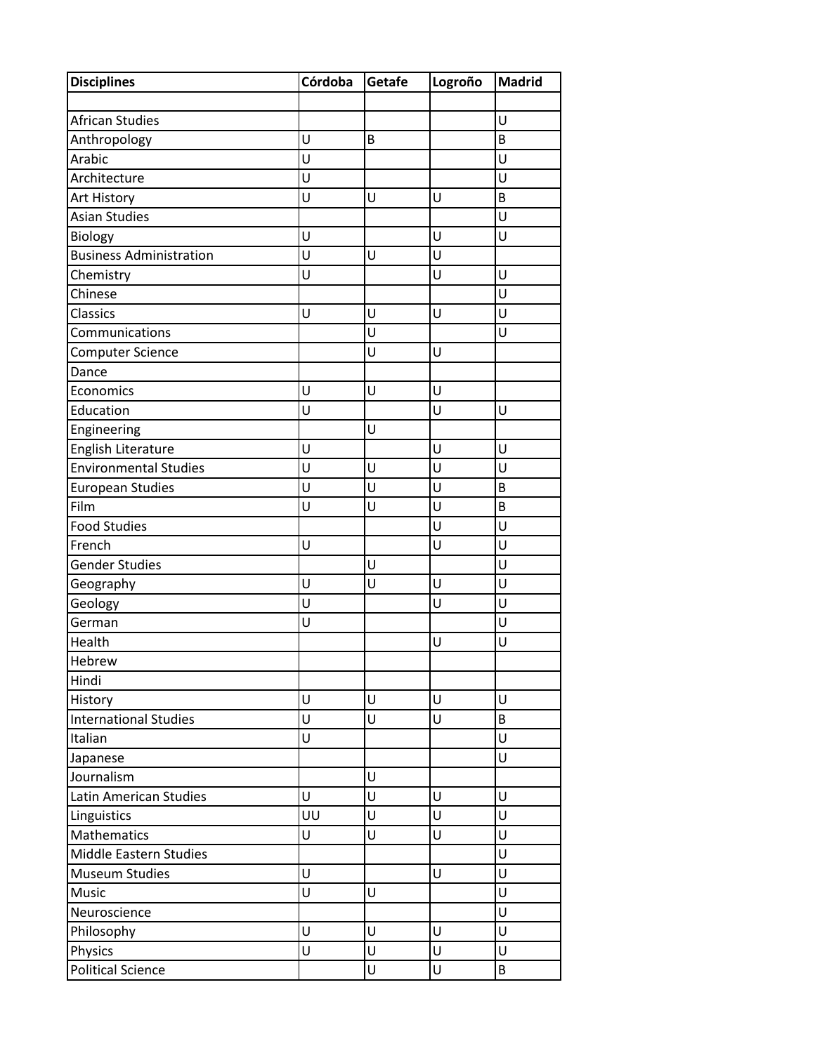| <b>Disciplines</b>             | Córdoba | Getafe | Logroño | <b>Madrid</b> |
|--------------------------------|---------|--------|---------|---------------|
|                                |         |        |         |               |
| <b>African Studies</b>         |         |        |         | U             |
| Anthropology                   | U       | B      |         | B             |
| Arabic                         | Ū       |        |         | U             |
| Architecture                   | U       |        |         | U             |
| Art History                    | U       | U      | U       | B             |
| <b>Asian Studies</b>           |         |        |         | U             |
| Biology                        | U       |        | U       | U             |
| <b>Business Administration</b> | Ù       | U      | U       |               |
| Chemistry                      | U       |        | U       | U             |
| Chinese                        |         |        |         | U             |
| <b>Classics</b>                | U       | U      | U       | U             |
| Communications                 |         | Ù      |         | Ù             |
| Computer Science               |         | U      | U       |               |
| Dance                          |         |        |         |               |
| Economics                      | U       | U      | U       |               |
| Education                      | U       |        | U       | U             |
| Engineering                    |         | U      |         |               |
| English Literature             | U       |        | U       | U             |
| <b>Environmental Studies</b>   | U       | U      | Ù       | Ù             |
| <b>European Studies</b>        | Ū       | U      | U       | B             |
| Film                           | U       | U      | U       | B             |
| <b>Food Studies</b>            |         |        | Ù       | U             |
| French                         | U       |        | U       | U             |
| Gender Studies                 |         | U      |         | Ù             |
| Geography                      | U       | U      | U       | U             |
| Geology                        | Ù       |        | U       | Ù             |
| German                         | U       |        |         | U             |
| Health                         |         |        | U       | U             |
| Hebrew                         |         |        |         |               |
| Hindi                          |         |        |         |               |
| History                        | U       | U      | U       | U             |
| <b>International Studies</b>   | U       | U      | U       | B             |
| Italian                        | U       |        |         | U             |
| Japanese                       |         |        |         | U             |
| Journalism                     |         | U      |         |               |
| Latin American Studies         | U       | U      | U       | U             |
| Linguistics                    | UU      | U      | U       | U             |
| <b>Mathematics</b>             | U       | U      | U       | U             |
| Middle Eastern Studies         |         |        |         | U             |
| <b>Museum Studies</b>          | U       |        | U       | U             |
| Music                          | Ù       | U      |         | U             |
| Neuroscience                   |         |        |         | U             |
| Philosophy                     | U       | U      | U       | U             |
| Physics                        | U       | U      | U       | U             |
| <b>Political Science</b>       |         | U      | U       | B             |